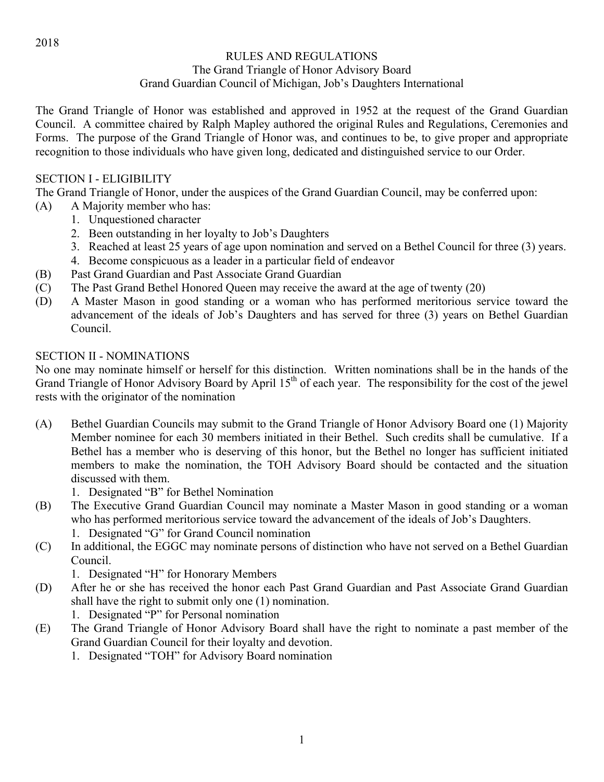## RULES AND REGULATIONS The Grand Triangle of Honor Advisory Board

Grand Guardian Council of Michigan, Job's Daughters International

The Grand Triangle of Honor was established and approved in 1952 at the request of the Grand Guardian Council. A committee chaired by Ralph Mapley authored the original Rules and Regulations, Ceremonies and Forms. The purpose of the Grand Triangle of Honor was, and continues to be, to give proper and appropriate recognition to those individuals who have given long, dedicated and distinguished service to our Order.

### SECTION I - ELIGIBILITY

The Grand Triangle of Honor, under the auspices of the Grand Guardian Council, may be conferred upon:

- (A) A Majority member who has:
	- 1. Unquestioned character
	- 2. Been outstanding in her loyalty to Job's Daughters
	- 3. Reached at least 25 years of age upon nomination and served on a Bethel Council for three (3) years.
	- 4. Become conspicuous as a leader in a particular field of endeavor
- (B) Past Grand Guardian and Past Associate Grand Guardian
- (C) The Past Grand Bethel Honored Queen may receive the award at the age of twenty (20)
- (D) A Master Mason in good standing or a woman who has performed meritorious service toward the advancement of the ideals of Job's Daughters and has served for three (3) years on Bethel Guardian Council.

### SECTION II - NOMINATIONS

No one may nominate himself or herself for this distinction. Written nominations shall be in the hands of the Grand Triangle of Honor Advisory Board by April 15<sup>th</sup> of each year. The responsibility for the cost of the jewel rests with the originator of the nomination

- (A) Bethel Guardian Councils may submit to the Grand Triangle of Honor Advisory Board one (1) Majority Member nominee for each 30 members initiated in their Bethel. Such credits shall be cumulative. If a Bethel has a member who is deserving of this honor, but the Bethel no longer has sufficient initiated members to make the nomination, the TOH Advisory Board should be contacted and the situation discussed with them.
	- 1. Designated "B" for Bethel Nomination
- (B) The Executive Grand Guardian Council may nominate a Master Mason in good standing or a woman who has performed meritorious service toward the advancement of the ideals of Job's Daughters.
	- 1. Designated "G" for Grand Council nomination
- (C) In additional, the EGGC may nominate persons of distinction who have not served on a Bethel Guardian Council.

1. Designated "H" for Honorary Members

(D) After he or she has received the honor each Past Grand Guardian and Past Associate Grand Guardian shall have the right to submit only one (1) nomination.

1. Designated "P" for Personal nomination

- (E) The Grand Triangle of Honor Advisory Board shall have the right to nominate a past member of the Grand Guardian Council for their loyalty and devotion.
	- 1. Designated "TOH" for Advisory Board nomination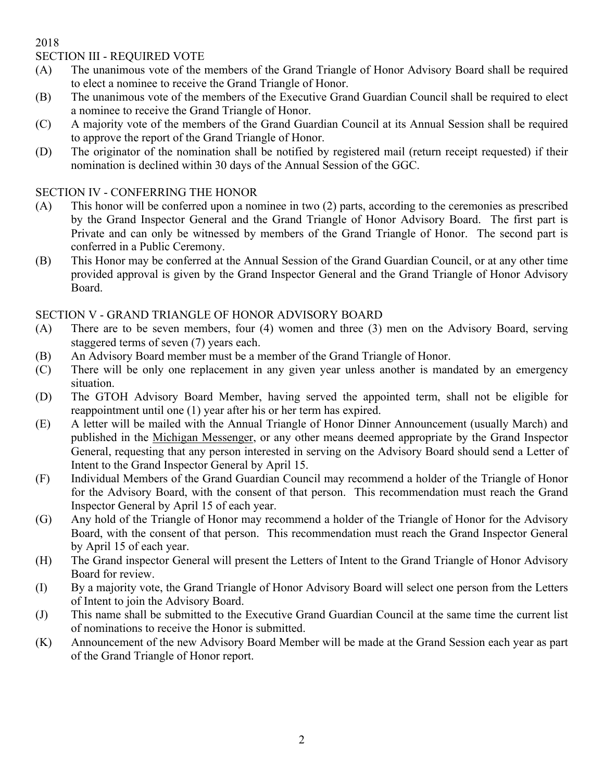2018

### SECTION III - REQUIRED VOTE

- (A) The unanimous vote of the members of the Grand Triangle of Honor Advisory Board shall be required to elect a nominee to receive the Grand Triangle of Honor.
- (B) The unanimous vote of the members of the Executive Grand Guardian Council shall be required to elect a nominee to receive the Grand Triangle of Honor.
- (C) A majority vote of the members of the Grand Guardian Council at its Annual Session shall be required to approve the report of the Grand Triangle of Honor.
- (D) The originator of the nomination shall be notified by registered mail (return receipt requested) if their nomination is declined within 30 days of the Annual Session of the GGC.

### SECTION IV - CONFERRING THE HONOR

- (A) This honor will be conferred upon a nominee in two (2) parts, according to the ceremonies as prescribed by the Grand Inspector General and the Grand Triangle of Honor Advisory Board. The first part is Private and can only be witnessed by members of the Grand Triangle of Honor. The second part is conferred in a Public Ceremony.
- (B) This Honor may be conferred at the Annual Session of the Grand Guardian Council, or at any other time provided approval is given by the Grand Inspector General and the Grand Triangle of Honor Advisory Board.

## SECTION V - GRAND TRIANGLE OF HONOR ADVISORY BOARD

- (A) There are to be seven members, four (4) women and three (3) men on the Advisory Board, serving staggered terms of seven (7) years each.
- (B) An Advisory Board member must be a member of the Grand Triangle of Honor.
- (C) There will be only one replacement in any given year unless another is mandated by an emergency situation.
- (D) The GTOH Advisory Board Member, having served the appointed term, shall not be eligible for reappointment until one (1) year after his or her term has expired.
- (E) A letter will be mailed with the Annual Triangle of Honor Dinner Announcement (usually March) and published in the Michigan Messenger, or any other means deemed appropriate by the Grand Inspector General, requesting that any person interested in serving on the Advisory Board should send a Letter of Intent to the Grand Inspector General by April 15.
- (F) Individual Members of the Grand Guardian Council may recommend a holder of the Triangle of Honor for the Advisory Board, with the consent of that person. This recommendation must reach the Grand Inspector General by April 15 of each year.
- (G) Any hold of the Triangle of Honor may recommend a holder of the Triangle of Honor for the Advisory Board, with the consent of that person. This recommendation must reach the Grand Inspector General by April 15 of each year.
- (H) The Grand inspector General will present the Letters of Intent to the Grand Triangle of Honor Advisory Board for review.
- (I) By a majority vote, the Grand Triangle of Honor Advisory Board will select one person from the Letters of Intent to join the Advisory Board.
- (J) This name shall be submitted to the Executive Grand Guardian Council at the same time the current list of nominations to receive the Honor is submitted.
- (K) Announcement of the new Advisory Board Member will be made at the Grand Session each year as part of the Grand Triangle of Honor report.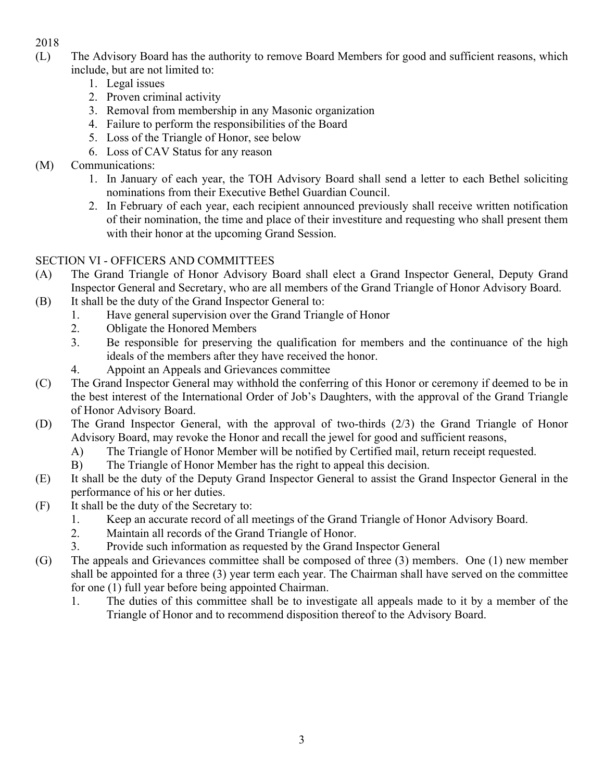- 2018
- (L) The Advisory Board has the authority to remove Board Members for good and sufficient reasons, which include, but are not limited to:
	- 1. Legal issues
	- 2. Proven criminal activity
	- 3. Removal from membership in any Masonic organization
	- 4. Failure to perform the responsibilities of the Board
	- 5. Loss of the Triangle of Honor, see below
	- 6. Loss of CAV Status for any reason

# (M) Communications:

- 1. In January of each year, the TOH Advisory Board shall send a letter to each Bethel soliciting nominations from their Executive Bethel Guardian Council.
- 2. In February of each year, each recipient announced previously shall receive written notification of their nomination, the time and place of their investiture and requesting who shall present them with their honor at the upcoming Grand Session.

## SECTION VI - OFFICERS AND COMMITTEES

- (A) The Grand Triangle of Honor Advisory Board shall elect a Grand Inspector General, Deputy Grand Inspector General and Secretary, who are all members of the Grand Triangle of Honor Advisory Board.
- (B) It shall be the duty of the Grand Inspector General to:
	- 1. Have general supervision over the Grand Triangle of Honor
	- 2. Obligate the Honored Members
	- 3. Be responsible for preserving the qualification for members and the continuance of the high ideals of the members after they have received the honor.
	- 4. Appoint an Appeals and Grievances committee
- (C) The Grand Inspector General may withhold the conferring of this Honor or ceremony if deemed to be in the best interest of the International Order of Job's Daughters, with the approval of the Grand Triangle of Honor Advisory Board.
- (D) The Grand Inspector General, with the approval of two-thirds (2/3) the Grand Triangle of Honor Advisory Board, may revoke the Honor and recall the jewel for good and sufficient reasons,
	- A) The Triangle of Honor Member will be notified by Certified mail, return receipt requested.
	- B) The Triangle of Honor Member has the right to appeal this decision.
- (E) It shall be the duty of the Deputy Grand Inspector General to assist the Grand Inspector General in the performance of his or her duties.
- (F) It shall be the duty of the Secretary to:
	- 1. Keep an accurate record of all meetings of the Grand Triangle of Honor Advisory Board.
	- 2. Maintain all records of the Grand Triangle of Honor.
	- 3. Provide such information as requested by the Grand Inspector General
- (G) The appeals and Grievances committee shall be composed of three (3) members. One (1) new member shall be appointed for a three (3) year term each year. The Chairman shall have served on the committee for one (1) full year before being appointed Chairman.
	- 1. The duties of this committee shall be to investigate all appeals made to it by a member of the Triangle of Honor and to recommend disposition thereof to the Advisory Board.